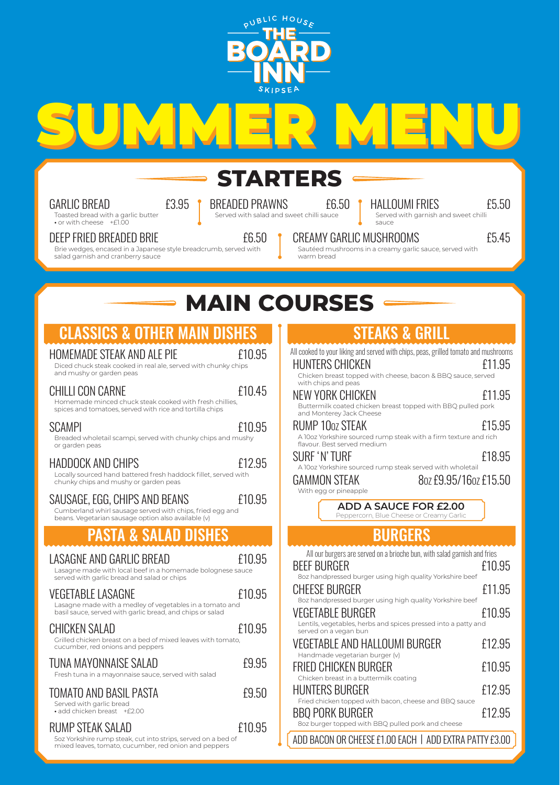

**SUMMER MENU**

# **STARTERS**

GARLIC BREAD **£3.95** 

Toasted bread with a garlic butter **•** or with cheese +£1.00

#### DEEP FRIED BREADED BRIE F6.50

Brie wedges, encased in a Japanese style breadcrumb, served with salad garnish and cranberry sauce

BREADED PRAWNS £6.50 Served with salad and sweet chilli sauce

HALLOUMI FRIES £5.50 Served with garnish and sweet chilli

sauce

CREAMY GARLIC MUSHROOMS **EXAMPLE 15.45** 

Sautéed mushrooms in a creamy garlic sauce, served with warm bread

STEAKS & GRILL

All cooked to your liking and served with chips, peas, grilled tomato and mushrooms

HUNTERS CHICKEN £11.95

# **MAIN COURSES**

## CLASSICS & OTHER MAIN DISHES

#### HOMEMADE STEAK AND ALE PIE £10.95

Diced chuck steak cooked in real ale, served with chunky chips and mushy or garden peas

### CHILLI CON CARNE £10.45

Homemade minced chuck steak cooked with fresh chillies, spices and tomatoes, served with rice and tortilla chips

#### SCAMPI E10.95

Breaded wholetail scampi, served with chunky chips and mushy or garden peas

#### HADDOCK AND CHIPS **E12.95**

Locally sourced hand battered fresh haddock fillet, served with chunky chips and mushy or garden peas

SAUSAGE, EGG, CHIPS AND BEANS **E**10.95

Cumberland whirl sausage served with chips, fried egg and beans. Vegetarian sausage option also available (v)

### **PASTA & SALAD DISHES**

| LASAGNE AND GARLIC BREAD<br>Lasagne made with local beef in a homemade bolognese sauce<br>served with garlic bread and salad or chips             | £10.95 |
|---------------------------------------------------------------------------------------------------------------------------------------------------|--------|
| <b>VEGETABLE LASAGNE</b><br>Lasagne made with a medley of vegetables in a tomato and<br>basil sauce, served with garlic bread, and chips or salad | £10.95 |
| <b>CHICKEN SALAD</b><br>Grilled chicken breast on a bed of mixed leaves with tomato,<br>cucumber, red onions and peppers                          | £10.95 |
| TUNA MAYONNAISE SALAD<br>Fresh tuna in a mayonnaise sauce, served with salad                                                                      | £9.95  |
| TOMATO AND BASIL PASTA<br>Served with garlic bread<br>· add chicken breast +£2.00                                                                 | £9.50  |
| RUMP STEAK SALAD                                                                                                                                  | £10.95 |

#### 5oz Yorkshire rump steak, cut into strips, served on a bed of mixed leaves, tomato, cucumber, red onion and peppers

| Chicken breast topped with cheese, bacon & BBQ sauce, served<br>with chips and peas             |        |
|-------------------------------------------------------------------------------------------------|--------|
| NEW YORK CHICKEN                                                                                | £11.95 |
| Buttermilk coated chicken breast topped with BBQ pulled pork<br>and Monterey Jack Cheese        |        |
| RUMP 10oz STEAK                                                                                 | £15.95 |
| A 10oz Yorkshire sourced rump steak with a firm texture and rich<br>flavour. Best served medium |        |
| SURF 'N' TURF                                                                                   | £18.95 |
| A 10oz Yorkshire sourced rump steak served with wholetail                                       |        |
| 80Z £9.95/160Z £15.50<br>GAMMON STEAK                                                           |        |
|                                                                                                 |        |
| With egg or pineapple                                                                           |        |
| <b>ADD A SAUCE FOR £2.00</b><br>Peppercorn, Blue Cheese or Creamy Garlic                        |        |
|                                                                                                 |        |
| <b>BURGERS</b>                                                                                  |        |
|                                                                                                 |        |
| All our burgers are served on a brioche bun, with salad garnish and fries                       |        |
| <b>BEEF BURGER</b><br>8oz handpressed burger using high quality Yorkshire beef                  | £10.95 |
| CHEESE BURGER                                                                                   |        |
| 8oz handpressed burger using high quality Yorkshire beef                                        | £11.95 |

#### VEGETABLE BURGER  $E10.95$ Lentils, vegetables, herbs and spices pressed into a patty and served on a vegan bun VEGETABLE AND HALLOUMI BURGER £12.95 Handmade vegetarian burger (v) FRIED CHICKEN BURGER £10.95 Chicken breast in a buttermilk coating

| CHICKEH DI CASE II FA DULLEH HIIN COALIHY<br><b>HUNTERS BURGER</b>              | f12.95 |
|---------------------------------------------------------------------------------|--------|
| Fried chicken topped with bacon, cheese and BBQ sauce<br><b>BBQ PORK BURGER</b> | f12.95 |
| 8oz burger topped with BBQ pulled pork and cheese                               |        |

ADD BACON OR CHEESE £1.00 EACH | ADD EXTRA PATTY £3.00